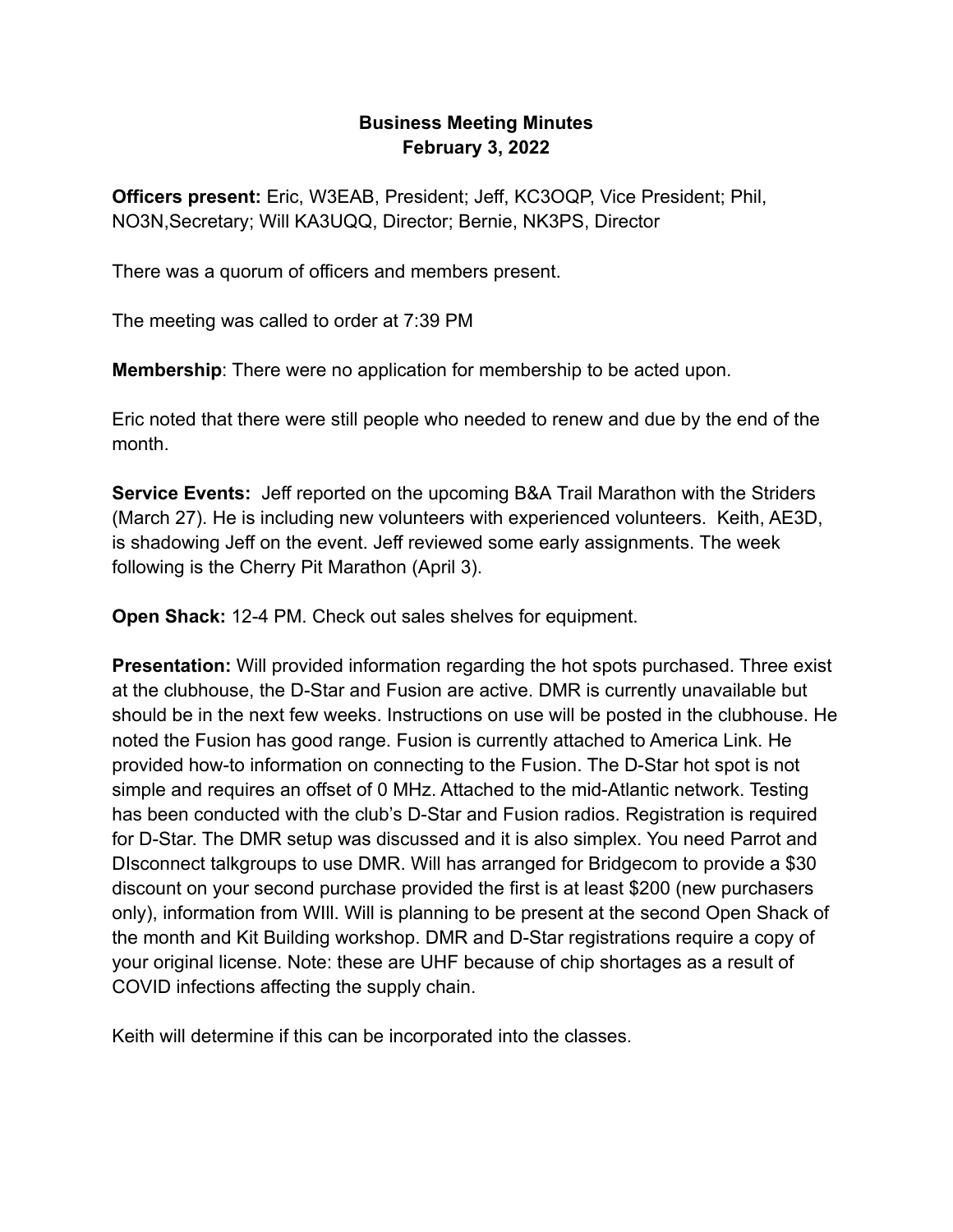## **Business Meeting Minutes February 3, 2022**

**Officers present:** Eric, W3EAB, President; Jeff, KC3OQP, Vice President; Phil, NO3N,Secretary; Will KA3UQQ, Director; Bernie, NK3PS, Director

There was a quorum of officers and members present.

The meeting was called to order at 7:39 PM

**Membership**: There were no application for membership to be acted upon.

Eric noted that there were still people who needed to renew and due by the end of the month.

**Service Events:** Jeff reported on the upcoming B&A Trail Marathon with the Striders (March 27). He is including new volunteers with experienced volunteers. Keith, AE3D, is shadowing Jeff on the event. Jeff reviewed some early assignments. The week following is the Cherry Pit Marathon (April 3).

**Open Shack:** 12-4 PM. Check out sales shelves for equipment.

**Presentation:** Will provided information regarding the hot spots purchased. Three exist at the clubhouse, the D-Star and Fusion are active. DMR is currently unavailable but should be in the next few weeks. Instructions on use will be posted in the clubhouse. He noted the Fusion has good range. Fusion is currently attached to America Link. He provided how-to information on connecting to the Fusion. The D-Star hot spot is not simple and requires an offset of 0 MHz. Attached to the mid-Atlantic network. Testing has been conducted with the club's D-Star and Fusion radios. Registration is required for D-Star. The DMR setup was discussed and it is also simplex. You need Parrot and DIsconnect talkgroups to use DMR. Will has arranged for Bridgecom to provide a \$30 discount on your second purchase provided the first is at least \$200 (new purchasers only), information from WIll. Will is planning to be present at the second Open Shack of the month and Kit Building workshop. DMR and D-Star registrations require a copy of your original license. Note: these are UHF because of chip shortages as a result of COVID infections affecting the supply chain.

Keith will determine if this can be incorporated into the classes.